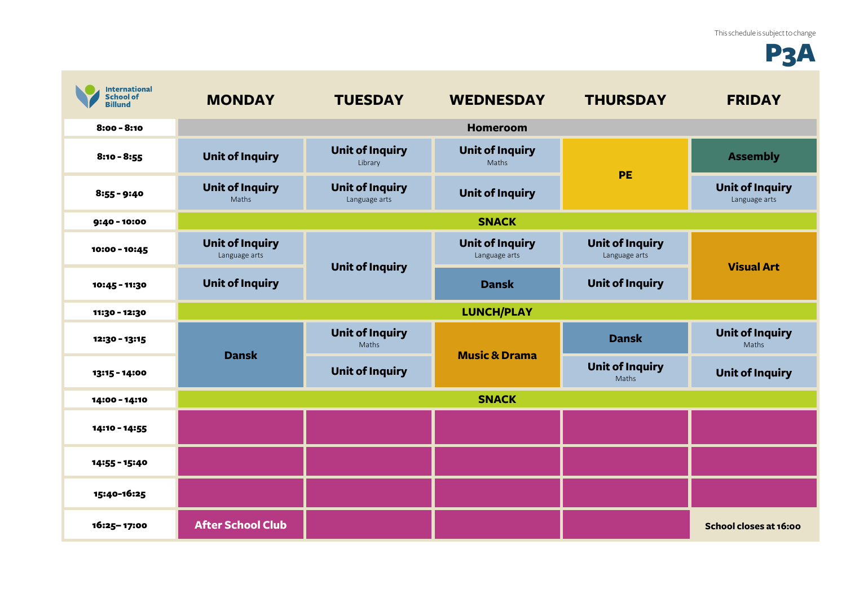## P3A

| <b>International</b><br><b>School of</b><br><b>Billund</b> | <b>MONDAY</b>                           | <b>TUESDAY</b>                          | <b>WEDNESDAY</b>                        | <b>THURSDAY</b>                         | <b>FRIDAY</b>                           |
|------------------------------------------------------------|-----------------------------------------|-----------------------------------------|-----------------------------------------|-----------------------------------------|-----------------------------------------|
| $8:00 - 8:10$                                              |                                         |                                         | Homeroom                                |                                         |                                         |
| $8:10 - 8:55$                                              | <b>Unit of Inquiry</b>                  | <b>Unit of Inquiry</b><br>Library       | <b>Unit of Inquiry</b><br>Maths         | PE                                      | <b>Assembly</b>                         |
| $8:55 - 9:40$                                              | <b>Unit of Inquiry</b><br>Maths         | <b>Unit of Inquiry</b><br>Language arts | <b>Unit of Inquiry</b>                  |                                         | <b>Unit of Inquiry</b><br>Language arts |
| $9:40 - 10:00$                                             | <b>SNACK</b>                            |                                         |                                         |                                         |                                         |
| 10:00 - 10:45                                              | <b>Unit of Inquiry</b><br>Language arts | <b>Unit of Inquiry</b>                  | <b>Unit of Inquiry</b><br>Language arts | <b>Unit of Inquiry</b><br>Language arts | <b>Visual Art</b>                       |
| 10:45 - 11:30                                              | <b>Unit of Inquiry</b>                  |                                         | <b>Dansk</b>                            | <b>Unit of Inquiry</b>                  |                                         |
| 11:30 - 12:30                                              | <b>LUNCH/PLAY</b>                       |                                         |                                         |                                         |                                         |
| 12:30 - 13:15                                              | <b>Dansk</b>                            | <b>Unit of Inquiry</b><br>Maths         | <b>Music &amp; Drama</b>                | <b>Dansk</b>                            | <b>Unit of Inquiry</b><br>Maths         |
| 13:15 - 14:00                                              |                                         | <b>Unit of Inquiry</b>                  |                                         | <b>Unit of Inquiry</b><br>Maths         | <b>Unit of Inquiry</b>                  |
| 14:00 - 14:10                                              | <b>SNACK</b>                            |                                         |                                         |                                         |                                         |
| 14:10 - 14:55                                              |                                         |                                         |                                         |                                         |                                         |
| 14:55 - 15:40                                              |                                         |                                         |                                         |                                         |                                         |
| 15:40-16:25                                                |                                         |                                         |                                         |                                         |                                         |
| 16:25-17:00                                                | <b>After School Club</b>                |                                         |                                         |                                         | School closes at 16:00                  |